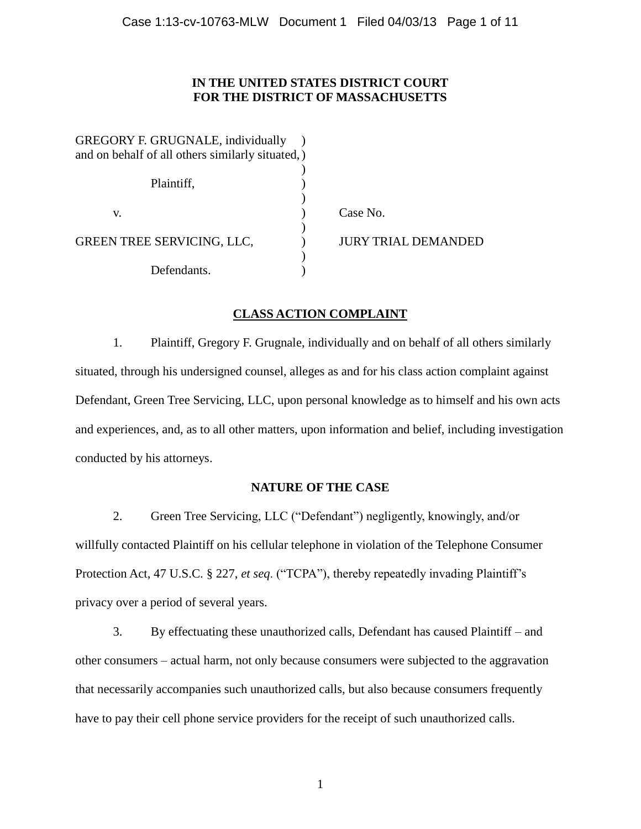## **IN THE UNITED STATES DISTRICT COURT FOR THE DISTRICT OF MASSACHUSETTS**

| <b>GREGORY F. GRUGNALE, individually</b><br>and on behalf of all others similarly situated,) |                     |
|----------------------------------------------------------------------------------------------|---------------------|
| Plaintiff,                                                                                   |                     |
| V.                                                                                           | Case No.            |
| GREEN TREE SERVICING, LLC,                                                                   | JURY TRIAL DEMANDED |
| Defendants.                                                                                  |                     |

# **CLASS ACTION COMPLAINT**

1. Plaintiff, Gregory F. Grugnale, individually and on behalf of all others similarly situated, through his undersigned counsel, alleges as and for his class action complaint against Defendant, Green Tree Servicing, LLC, upon personal knowledge as to himself and his own acts and experiences, and, as to all other matters, upon information and belief, including investigation conducted by his attorneys.

# **NATURE OF THE CASE**

2. Green Tree Servicing, LLC ("Defendant") negligently, knowingly, and/or willfully contacted Plaintiff on his cellular telephone in violation of the Telephone Consumer Protection Act, 47 U.S.C. § 227, *et seq*. ("TCPA"), thereby repeatedly invading Plaintiff's privacy over a period of several years.

3. By effectuating these unauthorized calls, Defendant has caused Plaintiff – and other consumers – actual harm, not only because consumers were subjected to the aggravation that necessarily accompanies such unauthorized calls, but also because consumers frequently have to pay their cell phone service providers for the receipt of such unauthorized calls.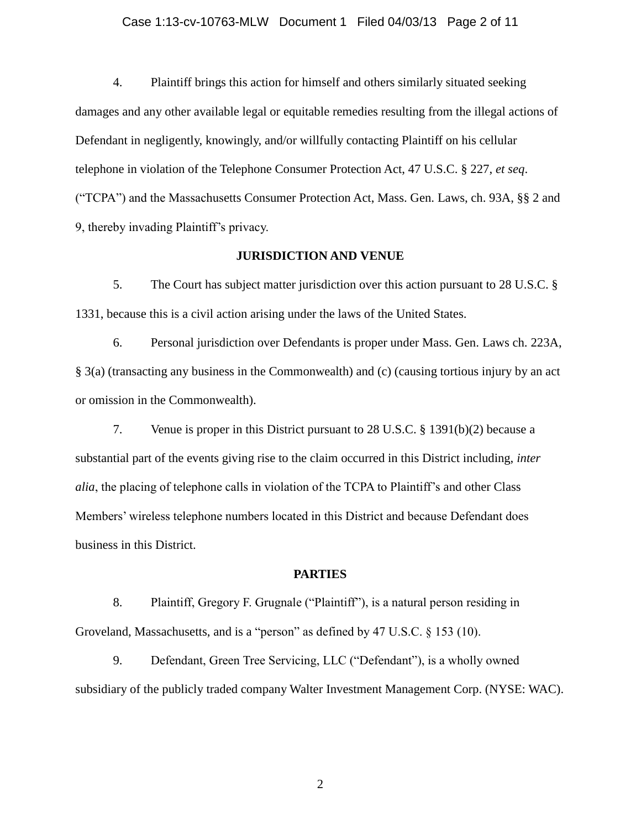#### Case 1:13-cv-10763-MLW Document 1 Filed 04/03/13 Page 2 of 11

4. Plaintiff brings this action for himself and others similarly situated seeking damages and any other available legal or equitable remedies resulting from the illegal actions of Defendant in negligently, knowingly, and/or willfully contacting Plaintiff on his cellular telephone in violation of the Telephone Consumer Protection Act, 47 U.S.C. § 227, *et seq*. ("TCPA") and the Massachusetts Consumer Protection Act, Mass. Gen. Laws, ch. 93A, §§ 2 and 9, thereby invading Plaintiff's privacy.

### **JURISDICTION AND VENUE**

5. The Court has subject matter jurisdiction over this action pursuant to 28 U.S.C. § 1331, because this is a civil action arising under the laws of the United States.

6. Personal jurisdiction over Defendants is proper under Mass. Gen. Laws ch. 223A, § 3(a) (transacting any business in the Commonwealth) and (c) (causing tortious injury by an act or omission in the Commonwealth).

7. Venue is proper in this District pursuant to 28 U.S.C. § 1391(b)(2) because a substantial part of the events giving rise to the claim occurred in this District including, *inter alia*, the placing of telephone calls in violation of the TCPA to Plaintiff's and other Class Members' wireless telephone numbers located in this District and because Defendant does business in this District.

#### **PARTIES**

8. Plaintiff, Gregory F. Grugnale ("Plaintiff"), is a natural person residing in Groveland, Massachusetts, and is a "person" as defined by 47 U.S.C. § 153 (10).

9. Defendant, Green Tree Servicing, LLC ("Defendant"), is a wholly owned subsidiary of the publicly traded company Walter Investment Management Corp. (NYSE: WAC).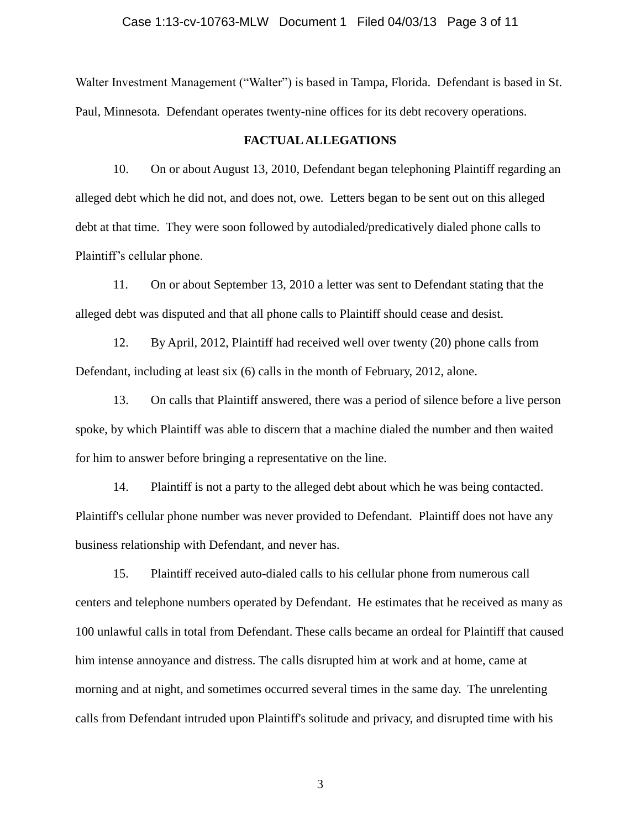#### Case 1:13-cv-10763-MLW Document 1 Filed 04/03/13 Page 3 of 11

Walter Investment Management ("Walter") is based in Tampa, Florida. Defendant is based in St. Paul, Minnesota. Defendant operates twenty-nine offices for its debt recovery operations.

#### **FACTUAL ALLEGATIONS**

10. On or about August 13, 2010, Defendant began telephoning Plaintiff regarding an alleged debt which he did not, and does not, owe. Letters began to be sent out on this alleged debt at that time. They were soon followed by autodialed/predicatively dialed phone calls to Plaintiff's cellular phone.

11. On or about September 13, 2010 a letter was sent to Defendant stating that the alleged debt was disputed and that all phone calls to Plaintiff should cease and desist.

12. By April, 2012, Plaintiff had received well over twenty (20) phone calls from Defendant, including at least six (6) calls in the month of February, 2012, alone.

13. On calls that Plaintiff answered, there was a period of silence before a live person spoke, by which Plaintiff was able to discern that a machine dialed the number and then waited for him to answer before bringing a representative on the line.

14. Plaintiff is not a party to the alleged debt about which he was being contacted. Plaintiff's cellular phone number was never provided to Defendant. Plaintiff does not have any business relationship with Defendant, and never has.

15. Plaintiff received auto-dialed calls to his cellular phone from numerous call centers and telephone numbers operated by Defendant. He estimates that he received as many as 100 unlawful calls in total from Defendant. These calls became an ordeal for Plaintiff that caused him intense annoyance and distress. The calls disrupted him at work and at home, came at morning and at night, and sometimes occurred several times in the same day. The unrelenting calls from Defendant intruded upon Plaintiff's solitude and privacy, and disrupted time with his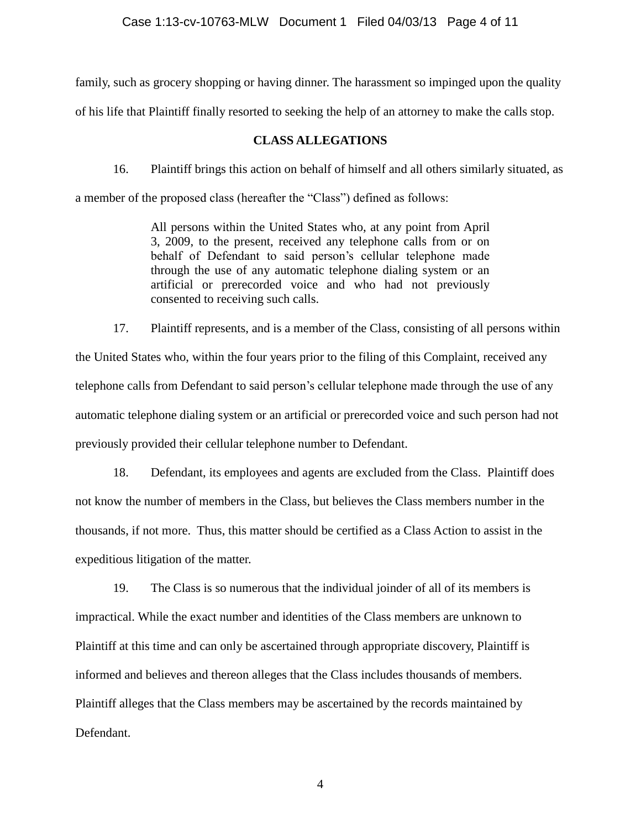family, such as grocery shopping or having dinner. The harassment so impinged upon the quality

of his life that Plaintiff finally resorted to seeking the help of an attorney to make the calls stop.

### **CLASS ALLEGATIONS**

16. Plaintiff brings this action on behalf of himself and all others similarly situated, as

a member of the proposed class (hereafter the "Class") defined as follows:

All persons within the United States who, at any point from April 3, 2009, to the present, received any telephone calls from or on behalf of Defendant to said person's cellular telephone made through the use of any automatic telephone dialing system or an artificial or prerecorded voice and who had not previously consented to receiving such calls.

17. Plaintiff represents, and is a member of the Class, consisting of all persons within the United States who, within the four years prior to the filing of this Complaint, received any telephone calls from Defendant to said person's cellular telephone made through the use of any automatic telephone dialing system or an artificial or prerecorded voice and such person had not previously provided their cellular telephone number to Defendant.

18. Defendant, its employees and agents are excluded from the Class. Plaintiff does not know the number of members in the Class, but believes the Class members number in the thousands, if not more. Thus, this matter should be certified as a Class Action to assist in the expeditious litigation of the matter.

19. The Class is so numerous that the individual joinder of all of its members is impractical. While the exact number and identities of the Class members are unknown to Plaintiff at this time and can only be ascertained through appropriate discovery, Plaintiff is informed and believes and thereon alleges that the Class includes thousands of members. Plaintiff alleges that the Class members may be ascertained by the records maintained by Defendant.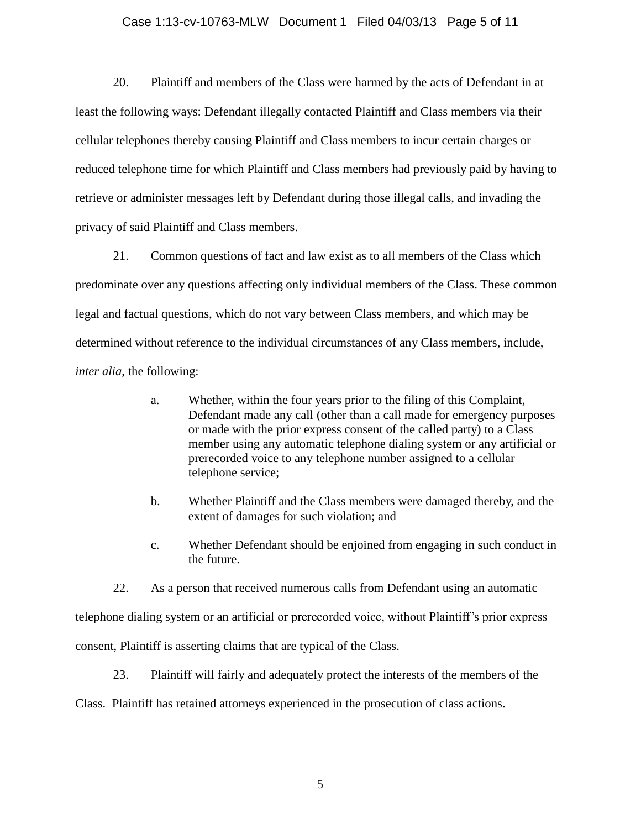#### Case 1:13-cv-10763-MLW Document 1 Filed 04/03/13 Page 5 of 11

20. Plaintiff and members of the Class were harmed by the acts of Defendant in at least the following ways: Defendant illegally contacted Plaintiff and Class members via their cellular telephones thereby causing Plaintiff and Class members to incur certain charges or reduced telephone time for which Plaintiff and Class members had previously paid by having to retrieve or administer messages left by Defendant during those illegal calls, and invading the privacy of said Plaintiff and Class members.

21. Common questions of fact and law exist as to all members of the Class which predominate over any questions affecting only individual members of the Class. These common legal and factual questions, which do not vary between Class members, and which may be determined without reference to the individual circumstances of any Class members, include, *inter alia*, the following:

- a. Whether, within the four years prior to the filing of this Complaint, Defendant made any call (other than a call made for emergency purposes or made with the prior express consent of the called party) to a Class member using any automatic telephone dialing system or any artificial or prerecorded voice to any telephone number assigned to a cellular telephone service;
- b. Whether Plaintiff and the Class members were damaged thereby, and the extent of damages for such violation; and
- c. Whether Defendant should be enjoined from engaging in such conduct in the future.

22. As a person that received numerous calls from Defendant using an automatic telephone dialing system or an artificial or prerecorded voice, without Plaintiff's prior express consent, Plaintiff is asserting claims that are typical of the Class.

23. Plaintiff will fairly and adequately protect the interests of the members of the

Class. Plaintiff has retained attorneys experienced in the prosecution of class actions.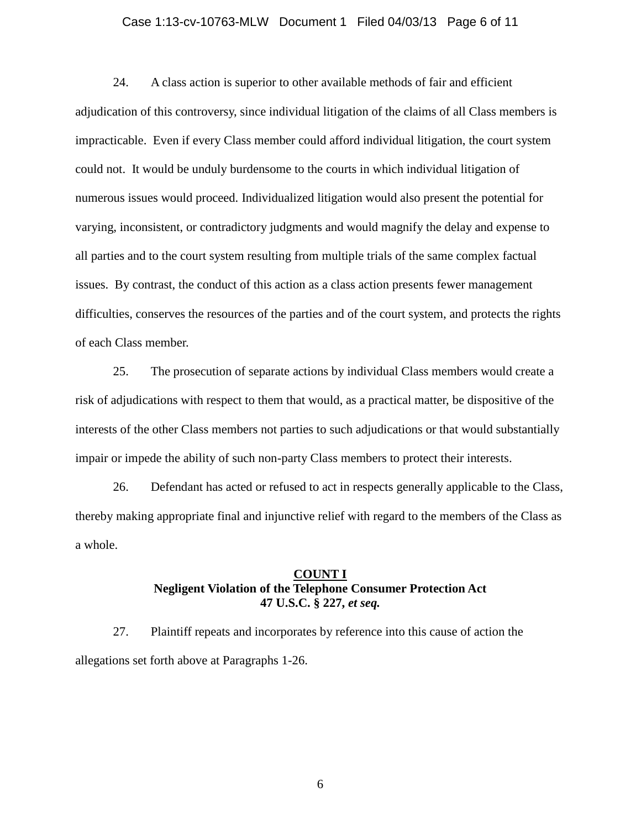#### Case 1:13-cv-10763-MLW Document 1 Filed 04/03/13 Page 6 of 11

24. A class action is superior to other available methods of fair and efficient adjudication of this controversy, since individual litigation of the claims of all Class members is impracticable. Even if every Class member could afford individual litigation, the court system could not. It would be unduly burdensome to the courts in which individual litigation of numerous issues would proceed. Individualized litigation would also present the potential for varying, inconsistent, or contradictory judgments and would magnify the delay and expense to all parties and to the court system resulting from multiple trials of the same complex factual issues. By contrast, the conduct of this action as a class action presents fewer management difficulties, conserves the resources of the parties and of the court system, and protects the rights of each Class member.

25. The prosecution of separate actions by individual Class members would create a risk of adjudications with respect to them that would, as a practical matter, be dispositive of the interests of the other Class members not parties to such adjudications or that would substantially impair or impede the ability of such non-party Class members to protect their interests.

26. Defendant has acted or refused to act in respects generally applicable to the Class, thereby making appropriate final and injunctive relief with regard to the members of the Class as a whole.

### **COUNT I Negligent Violation of the Telephone Consumer Protection Act 47 U.S.C. § 227,** *et seq.*

27. Plaintiff repeats and incorporates by reference into this cause of action the allegations set forth above at Paragraphs 1-26.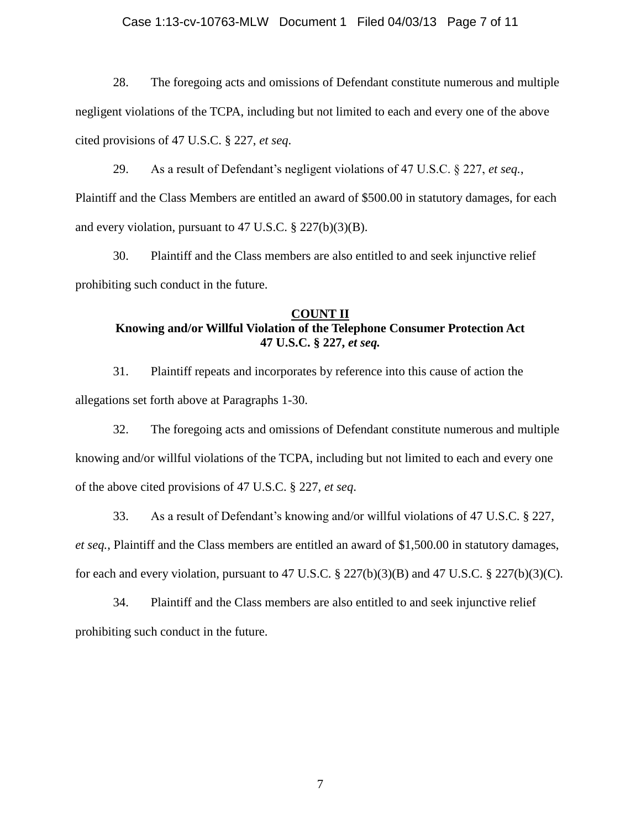#### Case 1:13-cv-10763-MLW Document 1 Filed 04/03/13 Page 7 of 11

28. The foregoing acts and omissions of Defendant constitute numerous and multiple negligent violations of the TCPA, including but not limited to each and every one of the above cited provisions of 47 U.S.C. § 227, *et seq*.

29. As a result of Defendant's negligent violations of 47 U.S.C. § 227, *et seq.*, Plaintiff and the Class Members are entitled an award of \$500.00 in statutory damages, for each and every violation, pursuant to 47 U.S.C. § 227(b)(3)(B).

30. Plaintiff and the Class members are also entitled to and seek injunctive relief prohibiting such conduct in the future.

### **COUNT II Knowing and/or Willful Violation of the Telephone Consumer Protection Act 47 U.S.C. § 227,** *et seq.*

31. Plaintiff repeats and incorporates by reference into this cause of action the allegations set forth above at Paragraphs 1-30.

32. The foregoing acts and omissions of Defendant constitute numerous and multiple knowing and/or willful violations of the TCPA, including but not limited to each and every one of the above cited provisions of 47 U.S.C. § 227, *et seq*.

33. As a result of Defendant's knowing and/or willful violations of 47 U.S.C. § 227, *et seq.*, Plaintiff and the Class members are entitled an award of \$1,500.00 in statutory damages, for each and every violation, pursuant to 47 U.S.C.  $\S 227(b)(3)(B)$  and 47 U.S.C.  $\S 227(b)(3)(C)$ .

34. Plaintiff and the Class members are also entitled to and seek injunctive relief prohibiting such conduct in the future.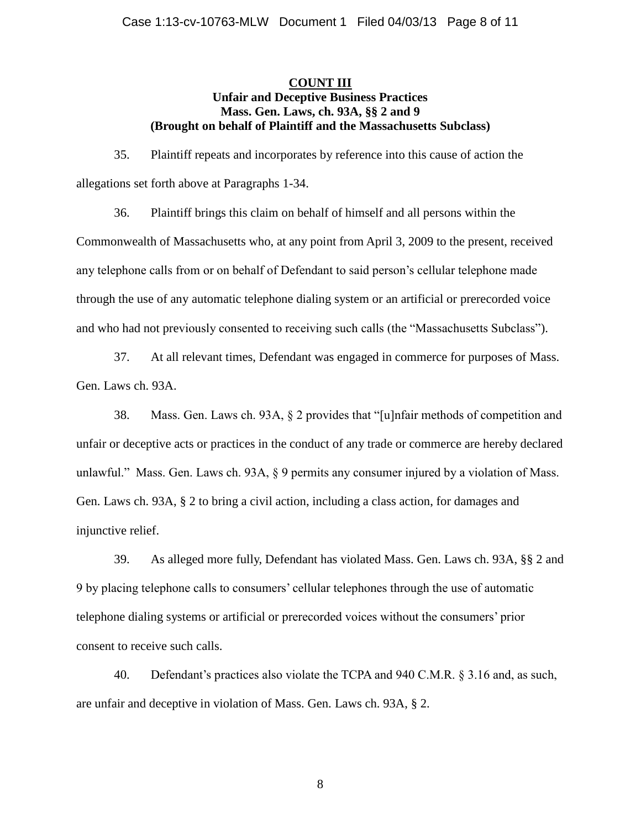## **COUNT III Unfair and Deceptive Business Practices Mass. Gen. Laws, ch. 93A, §§ 2 and 9 (Brought on behalf of Plaintiff and the Massachusetts Subclass)**

35. Plaintiff repeats and incorporates by reference into this cause of action the allegations set forth above at Paragraphs 1-34.

36. Plaintiff brings this claim on behalf of himself and all persons within the Commonwealth of Massachusetts who, at any point from April 3, 2009 to the present, received any telephone calls from or on behalf of Defendant to said person's cellular telephone made through the use of any automatic telephone dialing system or an artificial or prerecorded voice and who had not previously consented to receiving such calls (the "Massachusetts Subclass").

37. At all relevant times, Defendant was engaged in commerce for purposes of Mass. Gen. Laws ch. 93A.

38. Mass. Gen. Laws ch. 93A, § 2 provides that "[u]nfair methods of competition and unfair or deceptive acts or practices in the conduct of any trade or commerce are hereby declared unlawful." Mass. Gen. Laws ch. 93A, § 9 permits any consumer injured by a violation of Mass. Gen. Laws ch. 93A, § 2 to bring a civil action, including a class action, for damages and injunctive relief.

39. As alleged more fully, Defendant has violated Mass. Gen. Laws ch. 93A, §§ 2 and 9 by placing telephone calls to consumers' cellular telephones through the use of automatic telephone dialing systems or artificial or prerecorded voices without the consumers' prior consent to receive such calls.

40. Defendant's practices also violate the TCPA and 940 C.M.R. § 3.16 and, as such, are unfair and deceptive in violation of Mass. Gen. Laws ch. 93A, § 2.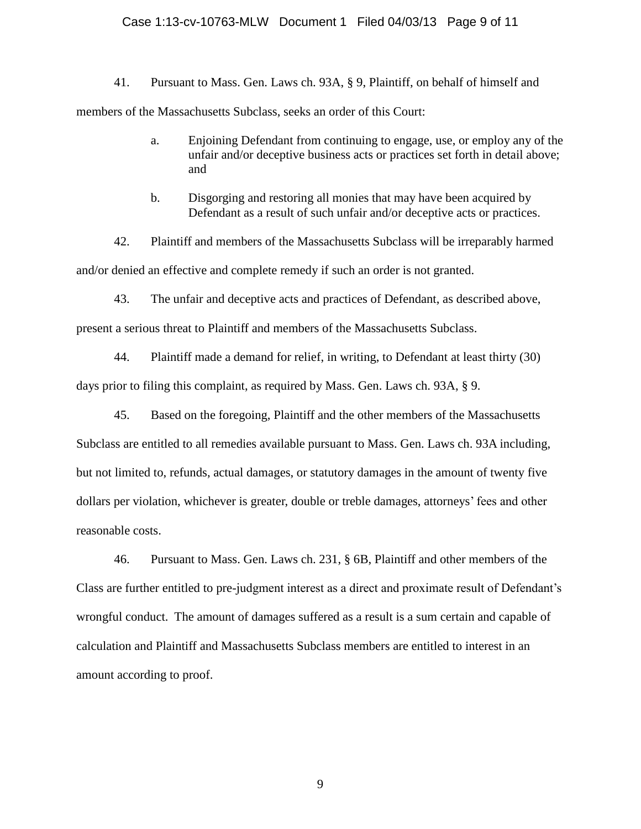### Case 1:13-cv-10763-MLW Document 1 Filed 04/03/13 Page 9 of 11

41. Pursuant to Mass. Gen. Laws ch. 93A, § 9, Plaintiff, on behalf of himself and members of the Massachusetts Subclass, seeks an order of this Court:

- a. Enjoining Defendant from continuing to engage, use, or employ any of the unfair and/or deceptive business acts or practices set forth in detail above; and
- b. Disgorging and restoring all monies that may have been acquired by Defendant as a result of such unfair and/or deceptive acts or practices.

42. Plaintiff and members of the Massachusetts Subclass will be irreparably harmed and/or denied an effective and complete remedy if such an order is not granted.

43. The unfair and deceptive acts and practices of Defendant, as described above,

present a serious threat to Plaintiff and members of the Massachusetts Subclass.

44. Plaintiff made a demand for relief, in writing, to Defendant at least thirty (30) days prior to filing this complaint, as required by Mass. Gen. Laws ch. 93A, § 9.

45. Based on the foregoing, Plaintiff and the other members of the Massachusetts Subclass are entitled to all remedies available pursuant to Mass. Gen. Laws ch. 93A including, but not limited to, refunds, actual damages, or statutory damages in the amount of twenty five dollars per violation, whichever is greater, double or treble damages, attorneys' fees and other reasonable costs.

46. Pursuant to Mass. Gen. Laws ch. 231, § 6B, Plaintiff and other members of the Class are further entitled to pre-judgment interest as a direct and proximate result of Defendant's wrongful conduct. The amount of damages suffered as a result is a sum certain and capable of calculation and Plaintiff and Massachusetts Subclass members are entitled to interest in an amount according to proof.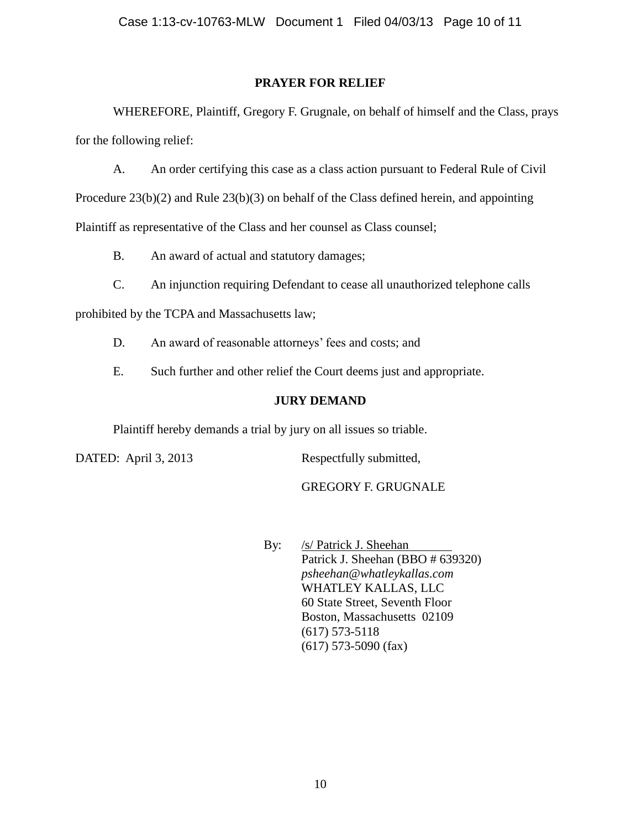## **PRAYER FOR RELIEF**

WHEREFORE, Plaintiff, Gregory F. Grugnale, on behalf of himself and the Class, prays for the following relief:

A. An order certifying this case as a class action pursuant to Federal Rule of Civil

Procedure 23(b)(2) and Rule 23(b)(3) on behalf of the Class defined herein, and appointing

Plaintiff as representative of the Class and her counsel as Class counsel;

B. An award of actual and statutory damages;

C. An injunction requiring Defendant to cease all unauthorized telephone calls

prohibited by the TCPA and Massachusetts law;

- D. An award of reasonable attorneys' fees and costs; and
- E. Such further and other relief the Court deems just and appropriate.

# **JURY DEMAND**

Plaintiff hereby demands a trial by jury on all issues so triable.

DATED: April 3, 2013 Respectfully submitted,

GREGORY F. GRUGNALE

By: /s/ Patrick J. Sheehan Patrick J. Sheehan (BBO # 639320) *psheehan@whatleykallas.com* WHATLEY KALLAS, LLC 60 State Street, Seventh Floor Boston, Massachusetts 02109 (617) 573-5118 (617) 573-5090 (fax)